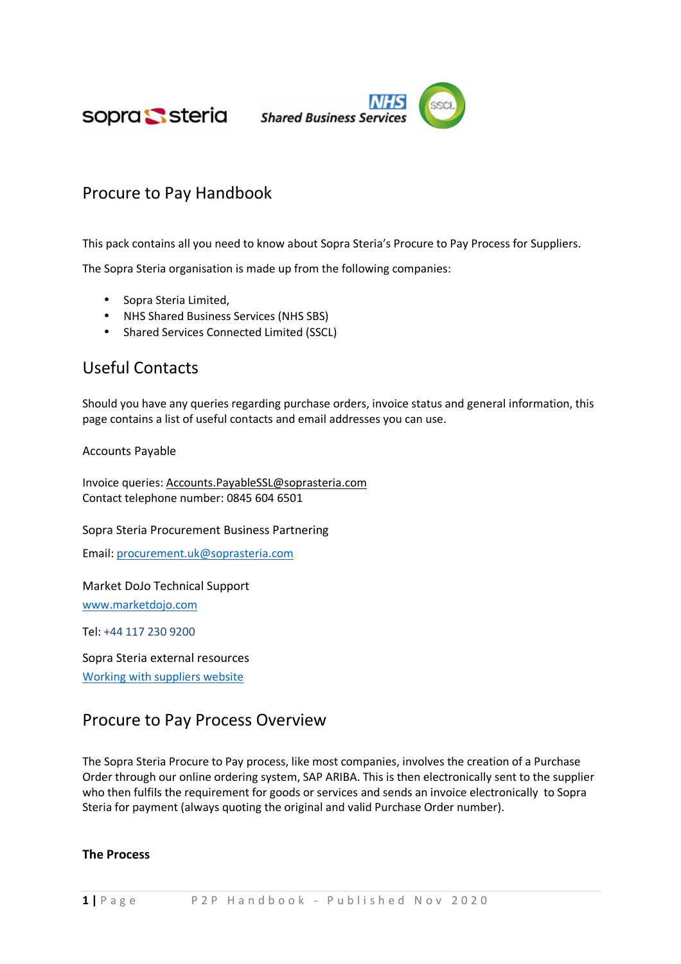sopra Ssteria



# Procure to Pay Handbook

This pack contains all you need to know about Sopra Steria's Procure to Pay Process for Suppliers.

The Sopra Steria organisation is made up from the following companies:

- Sopra Steria Limited,
- NHS Shared Business Services (NHS SBS)
- Shared Services Connected Limited (SSCL)

## Useful Contacts

Should you have any queries regarding purchase orders, invoice status and general information, this page contains a list of useful contacts and email addresses you can use.

Accounts Payable

Invoice queries: Accounts.PayableSSL@soprasteria.com Contact telephone number: 0845 604 6501

Sopra Steria Procurement Business Partnering

Email: procurement.uk@soprasteria.com

Market DoJo Technical Support www.marketdojo.com

Tel: +44 117 230 9200

Sopra Steria external resources Working with suppliers website

## Procure to Pay Process Overview

The Sopra Steria Procure to Pay process, like most companies, involves the creation of a Purchase Order through our online ordering system, SAP ARIBA. This is then electronically sent to the supplier who then fulfils the requirement for goods or services and sends an invoice electronically to Sopra Steria for payment (always quoting the original and valid Purchase Order number).

#### The Process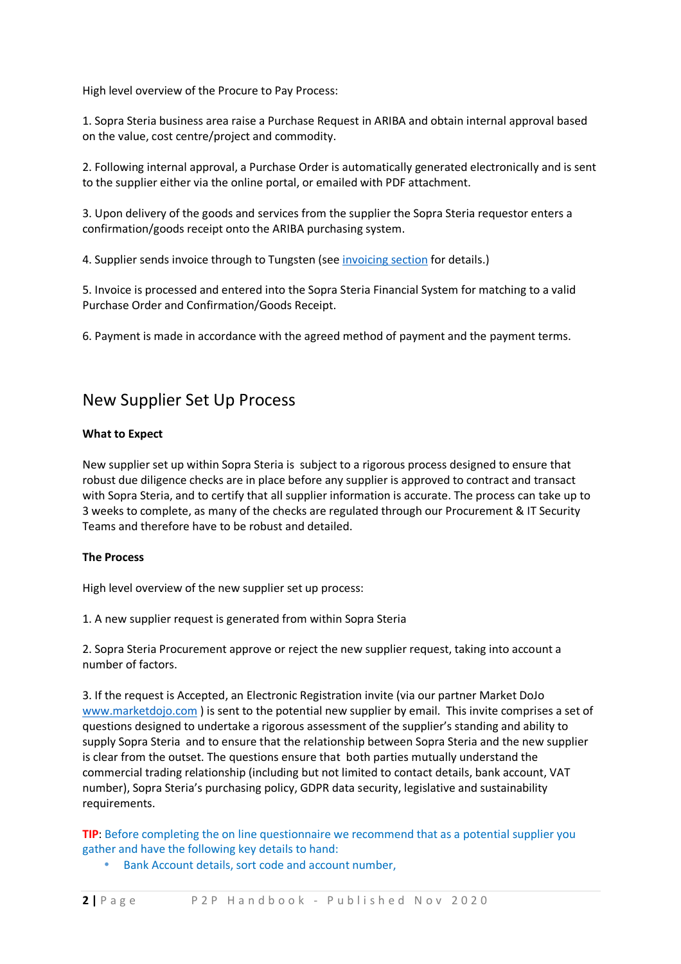High level overview of the Procure to Pay Process:

1. Sopra Steria business area raise a Purchase Request in ARIBA and obtain internal approval based on the value, cost centre/project and commodity.

2. Following internal approval, a Purchase Order is automatically generated electronically and is sent to the supplier either via the online portal, or emailed with PDF attachment.

3. Upon delivery of the goods and services from the supplier the Sopra Steria requestor enters a confirmation/goods receipt onto the ARIBA purchasing system.

4. Supplier sends invoice through to Tungsten (see invoicing section for details.)

5. Invoice is processed and entered into the Sopra Steria Financial System for matching to a valid Purchase Order and Confirmation/Goods Receipt.

6. Payment is made in accordance with the agreed method of payment and the payment terms.

#### New Supplier Set Up Process

#### What to Expect

New supplier set up within Sopra Steria is subject to a rigorous process designed to ensure that robust due diligence checks are in place before any supplier is approved to contract and transact with Sopra Steria, and to certify that all supplier information is accurate. The process can take up to 3 weeks to complete, as many of the checks are regulated through our Procurement & IT Security Teams and therefore have to be robust and detailed.

#### The Process

High level overview of the new supplier set up process:

1. A new supplier request is generated from within Sopra Steria

2. Sopra Steria Procurement approve or reject the new supplier request, taking into account a number of factors.

3. If the request is Accepted, an Electronic Registration invite (via our partner Market DoJo www.marketdojo.com ) is sent to the potential new supplier by email. This invite comprises a set of questions designed to undertake a rigorous assessment of the supplier's standing and ability to supply Sopra Steria and to ensure that the relationship between Sopra Steria and the new supplier is clear from the outset. The questions ensure that both parties mutually understand the commercial trading relationship (including but not limited to contact details, bank account, VAT number), Sopra Steria's purchasing policy, GDPR data security, legislative and sustainability requirements.

TIP: Before completing the on line questionnaire we recommend that as a potential supplier you gather and have the following key details to hand:

• Bank Account details, sort code and account number,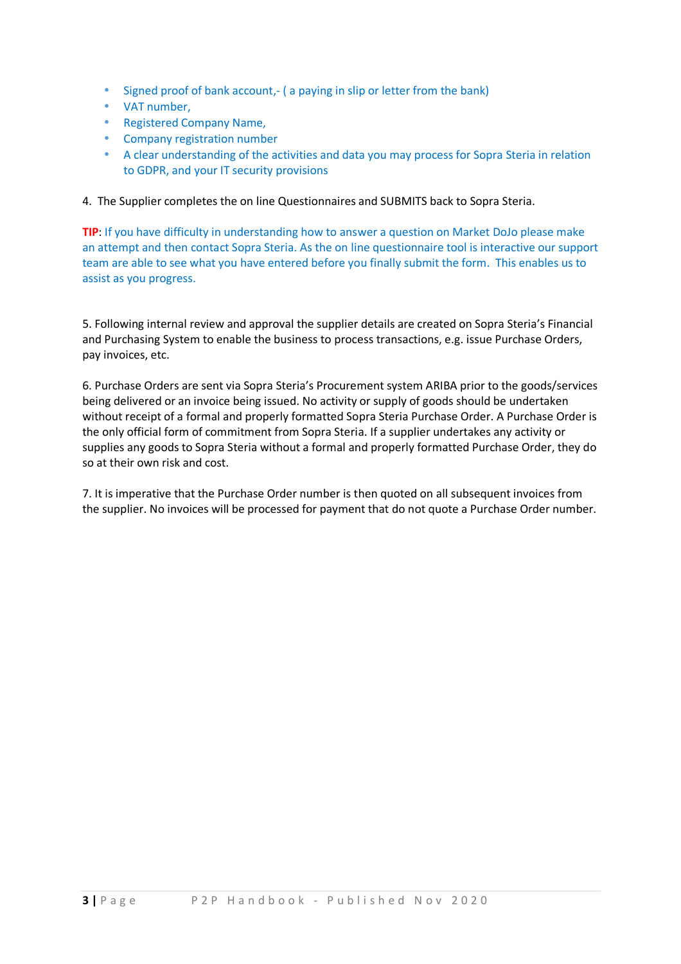- Signed proof of bank account, ( a paying in slip or letter from the bank)
- VAT number,
- Registered Company Name,
- Company registration number
- A clear understanding of the activities and data you may process for Sopra Steria in relation to GDPR, and your IT security provisions

4. The Supplier completes the on line Questionnaires and SUBMITS back to Sopra Steria.

TIP: If you have difficulty in understanding how to answer a question on Market DoJo please make an attempt and then contact Sopra Steria. As the on line questionnaire tool is interactive our support team are able to see what you have entered before you finally submit the form. This enables us to assist as you progress.

5. Following internal review and approval the supplier details are created on Sopra Steria's Financial and Purchasing System to enable the business to process transactions, e.g. issue Purchase Orders, pay invoices, etc.

6. Purchase Orders are sent via Sopra Steria's Procurement system ARIBA prior to the goods/services being delivered or an invoice being issued. No activity or supply of goods should be undertaken without receipt of a formal and properly formatted Sopra Steria Purchase Order. A Purchase Order is the only official form of commitment from Sopra Steria. If a supplier undertakes any activity or supplies any goods to Sopra Steria without a formal and properly formatted Purchase Order, they do so at their own risk and cost.

7. It is imperative that the Purchase Order number is then quoted on all subsequent invoices from the supplier. No invoices will be processed for payment that do not quote a Purchase Order number.